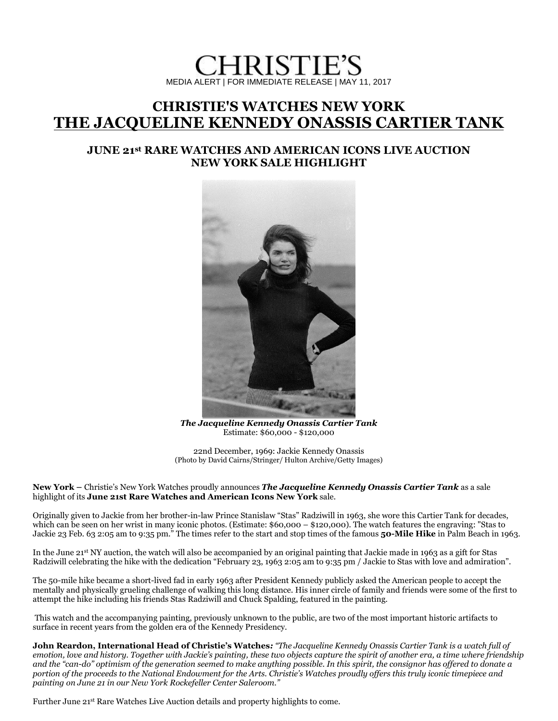# HRISTIE'S MEDIA ALERT | FOR IMMEDIATE RELEASE | MAY 11, 2017

# **[CHRISTIE'S WATCHES NEW YORK](http://www.christies.com/departments/watches-and-wristwatches-60-1.aspx?pagesection=upcoming-auctions#upcoming-auctions) THE JACQUELINE KENNEDY ONASSIS CARTIER TANK**

## **JUNE 21st RARE WATCHES AND AMERICAN ICONS LIVE AUCTION NEW YORK SALE HIGHLIGHT**



*The Jacqueline Kennedy Onassis Cartier Tank* Estimate: \$60,000 - \$120,000

22nd December, 1969: Jackie Kennedy Onassis (Photo by David Cairns/Stringer/ Hulton Archive/Getty Images)

**New York –** Christie's New York Watches proudly announces *The Jacqueline Kennedy Onassis Cartier Tank* as a sale highlight of its **June 21st Rare Watches and American Icons New York** sale.

Originally given to Jackie from her brother-in-law Prince Stanislaw "Stas" Radziwill in 1963, she wore this Cartier Tank for decades, which can be seen on her wrist in many iconic photos. (Estimate: \$60,000 – \$120,000). The watch features the engraving: "Stas to Jackie 23 Feb. 63 2:05 am to 9:35 pm." The times refer to the start and stop times of the famous **[50-Mile Hike](http://clinthillsecretservice.com/2017/02/jackie-jfk-50-mile-hike/)** in Palm Beach in 1963.

In the June 21st NY auction, the watch will also be accompanied by an original painting that Jackie made in 1963 as a gift for Stas Radziwill celebrating the hike with the dedication "February 23, 1963 2:05 am to 9:35 pm / Jackie to Stas with love and admiration".

The 50-mile hike became a short-lived fad in early 1963 after President Kennedy publicly asked the American people to accept the mentally and physically grueling challenge of walking this long distance. His inner circle of family and friends were some of the first to attempt the hike including his friends Stas Radziwill and Chuck Spalding, featured in the painting.

This watch and the accompanying painting, previously unknown to the public, are two of the most important historic artifacts to surface in recent years from the golden era of the Kennedy Presidency.

**John Reardon, International Head of Christie's Watches***: "The Jacqueline Kennedy Onassis Cartier Tank is a watch full of emotion, love and history. Together with Jackie's painting, these two objects capture the spirit of another era, a time where friendship and the "can-do" optimism of the generation seemed to make anything possible. In this spirit, the consignor has offered to donate a portion of the proceeds to the National Endowment for the Arts. Christie's Watches proudly offers this truly iconic timepiece and painting on June 21 in our New York Rockefeller Center Saleroom."*

Further June 21st Rare Watches Live Auction details and property highlights to come.